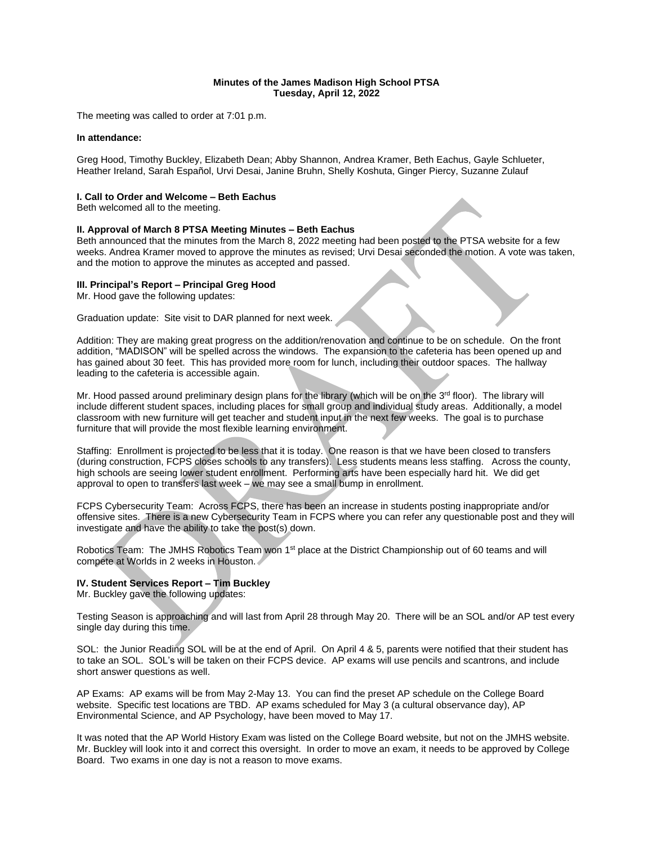## **Minutes of the James Madison High School PTSA Tuesday, April 12, 2022**

The meeting was called to order at 7:01 p.m.

### **In attendance:**

Greg Hood, Timothy Buckley, Elizabeth Dean; Abby Shannon, Andrea Kramer, Beth Eachus, Gayle Schlueter, Heather Ireland, Sarah Español, Urvi Desai, Janine Bruhn, Shelly Koshuta, Ginger Piercy, Suzanne Zulauf

## **I. Call to Order and Welcome – Beth Eachus**

Beth welcomed all to the meeting.

## **II. Approval of March 8 PTSA Meeting Minutes – Beth Eachus**

Beth announced that the minutes from the March 8, 2022 meeting had been posted to the PTSA website for a few weeks. Andrea Kramer moved to approve the minutes as revised; Urvi Desai seconded the motion. A vote was taken, and the motion to approve the minutes as accepted and passed.

## **III. Principal's Report – Principal Greg Hood**

Mr. Hood gave the following updates:

Graduation update: Site visit to DAR planned for next week.

Addition: They are making great progress on the addition/renovation and continue to be on schedule. On the front addition, "MADISON" will be spelled across the windows. The expansion to the cafeteria has been opened up and has gained about 30 feet. This has provided more room for lunch, including their outdoor spaces. The hallway leading to the cafeteria is accessible again.

Mr. Hood passed around preliminary design plans for the library (which will be on the 3<sup>rd</sup> floor). The library will include different student spaces, including places for small group and individual study areas. Additionally, a model classroom with new furniture will get teacher and student input in the next few weeks. The goal is to purchase furniture that will provide the most flexible learning environment.

Staffing: Enrollment is projected to be less that it is today. One reason is that we have been closed to transfers (during construction, FCPS closes schools to any transfers). Less students means less staffing. Across the county, high schools are seeing lower student enrollment. Performing arts have been especially hard hit. We did get approval to open to transfers last week – we may see a small bump in enrollment.

FCPS Cybersecurity Team: Across FCPS, there has been an increase in students posting inappropriate and/or offensive sites. There is a new Cybersecurity Team in FCPS where you can refer any questionable post and they will investigate and have the ability to take the post(s) down.

Robotics Team: The JMHS Robotics Team won 1<sup>st</sup> place at the District Championship out of 60 teams and will compete at Worlds in 2 weeks in Houston.

## **IV. Student Services Report – Tim Buckley**

Mr. Buckley gave the following updates:

Testing Season is approaching and will last from April 28 through May 20. There will be an SOL and/or AP test every single day during this time.

SOL: the Junior Reading SOL will be at the end of April. On April 4 & 5, parents were notified that their student has to take an SOL. SOL's will be taken on their FCPS device. AP exams will use pencils and scantrons, and include short answer questions as well.

AP Exams: AP exams will be from May 2-May 13. You can find the preset AP schedule on the College Board website. Specific test locations are TBD. AP exams scheduled for May 3 (a cultural observance day), AP Environmental Science, and AP Psychology, have been moved to May 17.

It was noted that the AP World History Exam was listed on the College Board website, but not on the JMHS website. Mr. Buckley will look into it and correct this oversight. In order to move an exam, it needs to be approved by College Board. Two exams in one day is not a reason to move exams.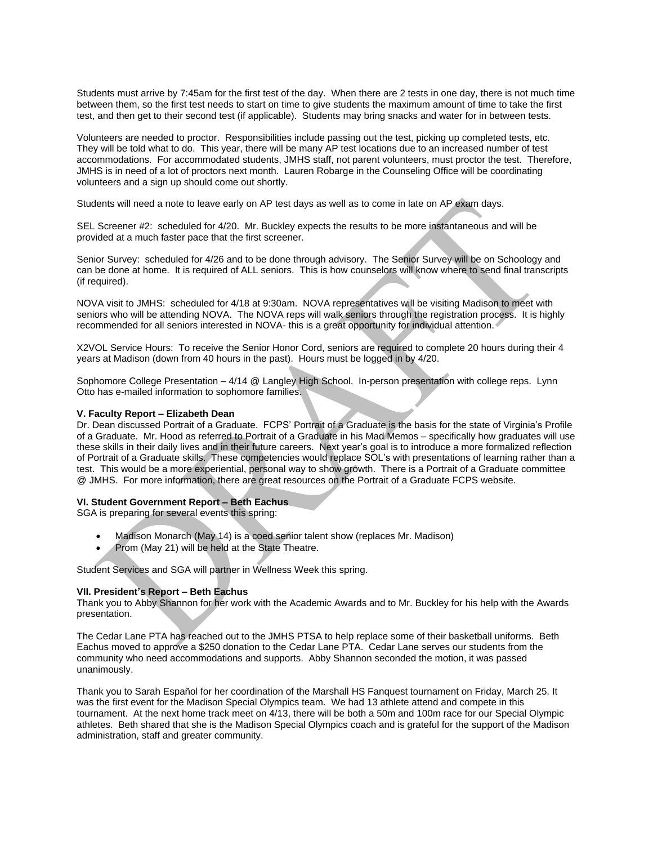Students must arrive by 7:45am for the first test of the day. When there are 2 tests in one day, there is not much time between them, so the first test needs to start on time to give students the maximum amount of time to take the first test, and then get to their second test (if applicable). Students may bring snacks and water for in between tests.

Volunteers are needed to proctor. Responsibilities include passing out the test, picking up completed tests, etc. They will be told what to do. This year, there will be many AP test locations due to an increased number of test accommodations. For accommodated students, JMHS staff, not parent volunteers, must proctor the test. Therefore, JMHS is in need of a lot of proctors next month. Lauren Robarge in the Counseling Office will be coordinating volunteers and a sign up should come out shortly.

Students will need a note to leave early on AP test days as well as to come in late on AP exam days.

SEL Screener #2: scheduled for 4/20. Mr. Buckley expects the results to be more instantaneous and will be provided at a much faster pace that the first screener.

Senior Survey: scheduled for 4/26 and to be done through advisory. The Senior Survey will be on Schoology and can be done at home. It is required of ALL seniors. This is how counselors will know where to send final transcripts (if required).

NOVA visit to JMHS: scheduled for 4/18 at 9:30am. NOVA representatives will be visiting Madison to meet with seniors who will be attending NOVA. The NOVA reps will walk seniors through the registration process. It is highly recommended for all seniors interested in NOVA- this is a great opportunity for individual attention.

X2VOL Service Hours: To receive the Senior Honor Cord, seniors are required to complete 20 hours during their 4 years at Madison (down from 40 hours in the past). Hours must be logged in by 4/20.

Sophomore College Presentation – 4/14 @ Langley High School. In-person presentation with college reps. Lynn Otto has e-mailed information to sophomore families.

# **V. Faculty Report – Elizabeth Dean**

Dr. Dean discussed Portrait of a Graduate. FCPS' Portrait of a Graduate is the basis for the state of Virginia's Profile of a Graduate. Mr. Hood as referred to Portrait of a Graduate in his Mad Memos – specifically how graduates will use these skills in their daily lives and in their future careers. Next year's goal is to introduce a more formalized reflection of Portrait of a Graduate skills. These competencies would replace SOL's with presentations of learning rather than a test. This would be a more experiential, personal way to show growth. There is a Portrait of a Graduate committee @ JMHS. For more information, there are great resources on the Portrait of a Graduate FCPS website.

## **VI. Student Government Report – Beth Eachus**

SGA is preparing for several events this spring:

- Madison Monarch (May 14) is a coed senior talent show (replaces Mr. Madison)
- Prom (May 21) will be held at the State Theatre.

Student Services and SGA will partner in Wellness Week this spring.

## **VII. President's Report – Beth Eachus**

Thank you to Abby Shannon for her work with the Academic Awards and to Mr. Buckley for his help with the Awards presentation.

The Cedar Lane PTA has reached out to the JMHS PTSA to help replace some of their basketball uniforms. Beth Eachus moved to approve a \$250 donation to the Cedar Lane PTA. Cedar Lane serves our students from the community who need accommodations and supports. Abby Shannon seconded the motion, it was passed unanimously.

Thank you to Sarah Español for her coordination of the Marshall HS Fanquest tournament on Friday, March 25. It was the first event for the Madison Special Olympics team. We had 13 athlete attend and compete in this tournament. At the next home track meet on 4/13, there will be both a 50m and 100m race for our Special Olympic athletes. Beth shared that she is the Madison Special Olympics coach and is grateful for the support of the Madison administration, staff and greater community.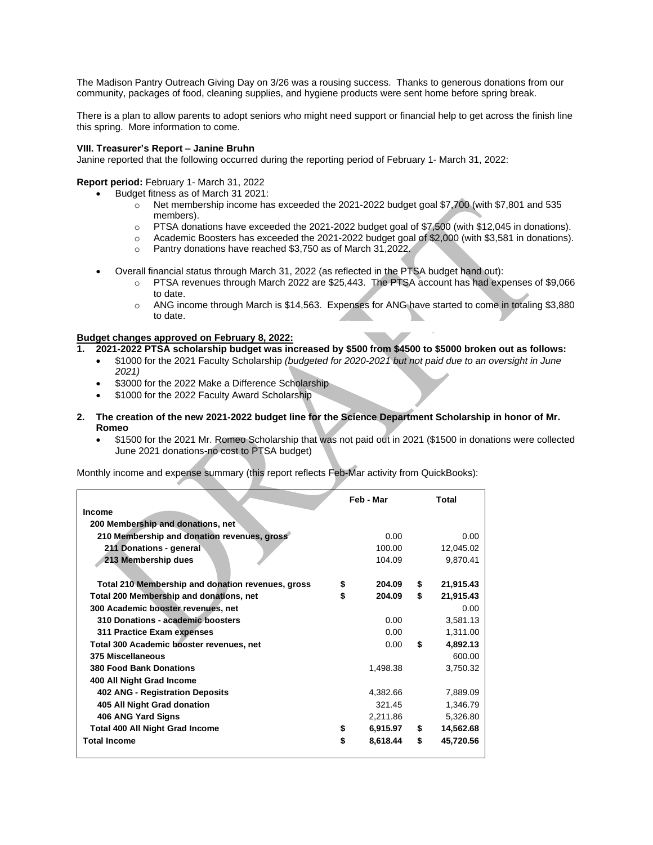The Madison Pantry Outreach Giving Day on 3/26 was a rousing success. Thanks to generous donations from our community, packages of food, cleaning supplies, and hygiene products were sent home before spring break.

There is a plan to allow parents to adopt seniors who might need support or financial help to get across the finish line this spring. More information to come.

### **VIII. Treasurer's Report – Janine Bruhn**

Janine reported that the following occurred during the reporting period of February 1- March 31, 2022:

## **Report period:** February 1- March 31, 2022

- Budget fitness as of March 31 2021:
	- $\circ$  Net membership income has exceeded the 2021-2022 budget goal \$7,700 (with \$7,801 and 535 members).
	- o PTSA donations have exceeded the 2021-2022 budget goal of \$7,500 (with \$12,045 in donations).
	- o Academic Boosters has exceeded the 2021-2022 budget goal of \$2,000 (with \$3,581 in donations).
	- o Pantry donations have reached \$3,750 as of March 31,2022.
- Overall financial status through March 31, 2022 (as reflected in the PTSA budget hand out):
	- o PTSA revenues through March 2022 are \$25,443. The PTSA account has had expenses of \$9,066 to date.
	- o ANG income through March is \$14,563. Expenses for ANG have started to come in totaling \$3,880 to date.

### **Budget changes approved on February 8, 2022:**

- **1. 2021-2022 PTSA scholarship budget was increased by \$500 from \$4500 to \$5000 broken out as follows:**
	- \$1000 for the 2021 Faculty Scholarship *(budgeted for 2020-2021 but not paid due to an oversight in June 2021)*
	- \$3000 for the 2022 Make a Difference Scholarship
	- \$1000 for the 2022 Faculty Award Scholarship
- **2. The creation of the new 2021-2022 budget line for the Science Department Scholarship in honor of Mr. Romeo**
	- \$1500 for the 2021 Mr. Romeo Scholarship that was not paid out in 2021 (\$1500 in donations were collected June 2021 donations-no cost to PTSA budget)

Monthly income and expense summary (this report reflects Feb-Mar activity from QuickBooks):

|                                                   | Feb - Mar      | Total           |
|---------------------------------------------------|----------------|-----------------|
| <b>Income</b>                                     |                |                 |
| 200 Membership and donations, net                 |                |                 |
| 210 Membership and donation revenues, gross       | 0.00           | 0.00            |
| 211 Donations - general                           | 100.00         | 12,045.02       |
| 213 Membership dues                               | 104.09         | 9,870.41        |
|                                                   |                |                 |
| Total 210 Membership and donation revenues, gross | \$<br>204.09   | \$<br>21,915.43 |
| Total 200 Membership and donations, net           | \$<br>204.09   | \$<br>21,915.43 |
| 300 Academic booster revenues, net                |                | 0.00            |
| 310 Donations - academic boosters                 | 0.00           | 3,581.13        |
| 311 Practice Exam expenses                        | 0.00           | 1,311.00        |
| Total 300 Academic booster revenues, net          | 0.00           | \$<br>4,892.13  |
| 375 Miscellaneous                                 |                | 600.00          |
| <b>380 Food Bank Donations</b>                    | 1,498.38       | 3,750.32        |
| 400 All Night Grad Income                         |                |                 |
| 402 ANG - Registration Deposits                   | 4,382.66       | 7,889.09        |
| 405 All Night Grad donation                       | 321.45         | 1,346.79        |
| 406 ANG Yard Signs                                | 2,211.86       | 5,326.80        |
| <b>Total 400 All Night Grad Income</b>            | \$<br>6,915.97 | \$<br>14,562.68 |
| <b>Total Income</b>                               | \$<br>8,618.44 | \$<br>45,720.56 |
|                                                   |                |                 |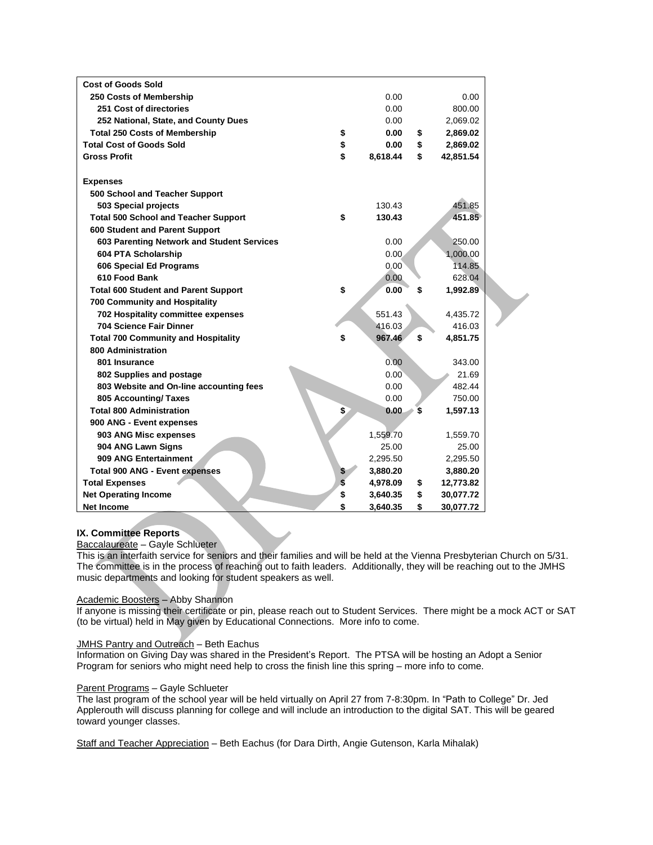| <b>Cost of Goods Sold</b>                   |                |    |           |  |
|---------------------------------------------|----------------|----|-----------|--|
| 250 Costs of Membership                     | 0.00           |    | 0.00      |  |
| 251 Cost of directories                     | 0.00           |    | 800.00    |  |
| 252 National, State, and County Dues        | 0.00           |    | 2,069.02  |  |
| <b>Total 250 Costs of Membership</b>        | \$<br>0.00     | \$ | 2,869.02  |  |
| <b>Total Cost of Goods Sold</b>             | \$<br>0.00     | \$ | 2,869.02  |  |
| <b>Gross Profit</b>                         | \$<br>8,618.44 | \$ | 42,851.54 |  |
|                                             |                |    |           |  |
| <b>Expenses</b>                             |                |    |           |  |
| 500 School and Teacher Support              |                |    |           |  |
| 503 Special projects                        | 130.43         |    | 451.85    |  |
| <b>Total 500 School and Teacher Support</b> | \$<br>130.43   |    | 451.85    |  |
| 600 Student and Parent Support              |                |    |           |  |
| 603 Parenting Network and Student Services  | 0.00           |    | 250.00    |  |
| 604 PTA Scholarship                         | 0.00           |    | 1,000.00  |  |
| 606 Special Ed Programs                     | 0.00           |    | 114.85    |  |
| 610 Food Bank                               | 0.00           |    | 628.04    |  |
| <b>Total 600 Student and Parent Support</b> | \$<br>0.00     | \$ | 1,992.89  |  |
| <b>700 Community and Hospitality</b>        |                |    |           |  |
| 702 Hospitality committee expenses          | 551.43         |    | 4,435.72  |  |
| 704 Science Fair Dinner                     | 416.03         |    | 416.03    |  |
| <b>Total 700 Community and Hospitality</b>  | \$<br>967.46   | \$ | 4,851.75  |  |
| 800 Administration                          |                |    |           |  |
| 801 Insurance                               | 0.00           |    | 343.00    |  |
| 802 Supplies and postage                    | 0.00           |    | 21.69     |  |
| 803 Website and On-line accounting fees     | 0.00           |    | 482.44    |  |
| 805 Accounting/ Taxes                       | 0.00           |    | 750.00    |  |
| <b>Total 800 Administration</b>             | \$<br>0.00     | S  | 1,597.13  |  |
| 900 ANG - Event expenses                    |                |    |           |  |
| 903 ANG Misc expenses                       | 1,559.70       |    | 1,559.70  |  |
| 904 ANG Lawn Signs                          | 25.00          |    | 25.00     |  |
| 909 ANG Entertainment                       | 2,295.50       |    | 2,295.50  |  |
| <b>Total 900 ANG - Event expenses</b>       | 3,880.20       |    | 3,880.20  |  |
| <b>Total Expenses</b>                       | \$<br>4,978.09 | \$ | 12,773.82 |  |
| <b>Net Operating Income</b>                 | \$<br>3,640.35 | \$ | 30,077.72 |  |
| <b>Net Income</b>                           | \$<br>3,640.35 | \$ | 30,077.72 |  |
|                                             |                |    |           |  |

# **IX. Committee Reports**

Baccalaureate – Gayle Schlueter

This is an interfaith service for seniors and their families and will be held at the Vienna Presbyterian Church on 5/31. The committee is in the process of reaching out to faith leaders. Additionally, they will be reaching out to the JMHS music departments and looking for student speakers as well.

## Academic Boosters – Abby Shannon

If anyone is missing their certificate or pin, please reach out to Student Services. There might be a mock ACT or SAT (to be virtual) held in May given by Educational Connections. More info to come.

### JMHS Pantry and Outreach – Beth Eachus

Information on Giving Day was shared in the President's Report. The PTSA will be hosting an Adopt a Senior Program for seniors who might need help to cross the finish line this spring – more info to come.

### Parent Programs – Gayle Schlueter

The last program of the school year will be held virtually on April 27 from 7-8:30pm. In "Path to College" Dr. Jed Applerouth will discuss planning for college and will include an introduction to the digital SAT. This will be geared toward younger classes.

Staff and Teacher Appreciation – Beth Eachus (for Dara Dirth, Angie Gutenson, Karla Mihalak)